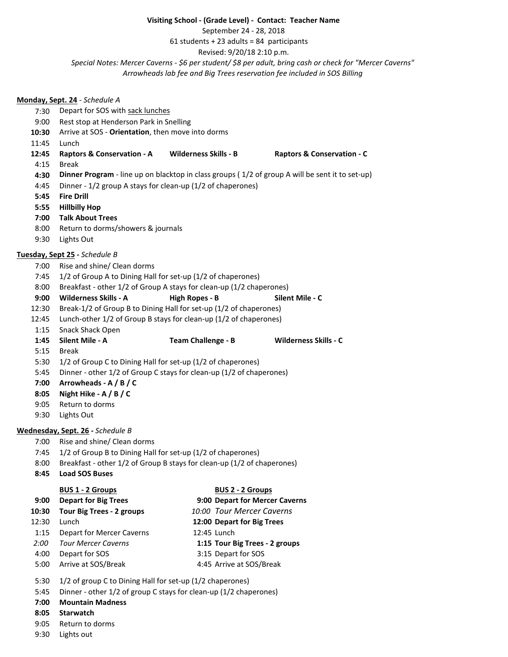## **Visiting School - (Grade Level) - Contact: Teacher Name**

September 24 - 28, 2018

 $61$  students + 23 adults = 84 participants

Revised: 9/20/18 2:10 p.m.

*Special Notes: Mercer Caverns - \$6 per student/ \$8 per adult, bring cash or check for "Mercer Caverns"*

*Arrowheads lab fee and Big Trees reservation fee included in SOS Billing*

## **Monday, Sept. 24** - *Schedule A* 7:30 Depart for SOS with sack lunches 9:00 Rest stop at Henderson Park in Snelling **10:30** Arrive at SOS - **Orientation**, then move into dorms 11:45 Lunch **12:45 Raptors & Conservation - A Wilderness Skills - B Raptors & Conservation - C** 4:15 Break **4:30 Dinner Program** - line up on blacktop in class groups ( 1/2 of group A will be sent it to set-up) 4:45 Dinner - 1/2 group A stays for clean-up (1/2 of chaperones) **5:45 Fire Drill 5:55 Hillbilly Hop 7:00 Talk About Trees** 8:00 Return to dorms/showers & journals 9:30 Lights Out **Tuesday, Sept 25 -** *Schedule B* 7:00 Rise and shine/ Clean dorms 7:45 1/2 of Group A to Dining Hall for set-up (1/2 of chaperones) 8:00 Breakfast - other 1/2 of Group A stays for clean-up (1/2 chaperones) **9:00 Wilderness Skills - A High Ropes - B Silent Mile - C** 12:30 Break-1/2 of Group B to Dining Hall for set-up (1/2 of chaperones) 12:45 Lunch-other 1/2 of Group B stays for clean-up (1/2 of chaperones) 1:15 Snack Shack Open **1:45 Silent Mile - A Team Challenge - B Wilderness Skills - C** 5:15 Break 5:30 1/2 of Group C to Dining Hall for set-up (1/2 of chaperones) 5:45 Dinner - other 1/2 of Group C stays for clean-up (1/2 of chaperones) **7:00 Arrowheads - A / B / C 8:05 Night Hike - A / B / C** 9:05 Return to dorms 9:30 Lights Out **Wednesday, Sept. 26 -** *Schedule B* 7:00 Rise and shine/ Clean dorms 7:45 1/2 of Group B to Dining Hall for set-up (1/2 of chaperones) 8:00 Breakfast - other 1/2 of Group B stays for clean-up (1/2 of chaperones) **8:45 Load SOS Buses BUS 1 - 2 Groups BUS 2 - 2 Groups 9:00 Depart for Big Trees 9:00 Depart for Mercer Caverns 10:30 Tour Big Trees - 2 groups** *10:00 Tour Mercer Caverns* 12:30 Lunch **12:00 Depart for Big Trees** 1:15 Depart for Mercer Caverns 12:45 Lunch *2:00 Tour Mercer Caverns* **1:15 Tour Big Trees - 2 groups** 4:00 Depart for SOS 3:15 Depart for SOS 5:00 Arrive at SOS/Break 4:45 Arrive at SOS/Break 5:30 1/2 of group C to Dining Hall for set-up (1/2 chaperones) 5:45 Dinner - other 1/2 of group C stays for clean-up (1/2 chaperones) **7:00 Mountain Madness 8:05 Starwatch** 9:05 Return to dorms

9:30 Lights out